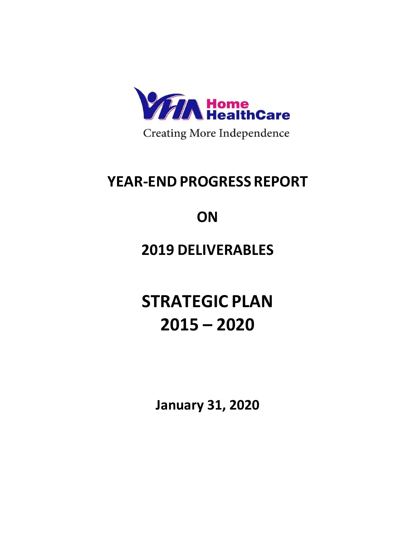

## **YEAR-END PROGRESS REPORT**

# **ON**

## **2019 DELIVERABLES**

**STRATEGIC PLAN 2015 – 2020**

**January 31, 2020**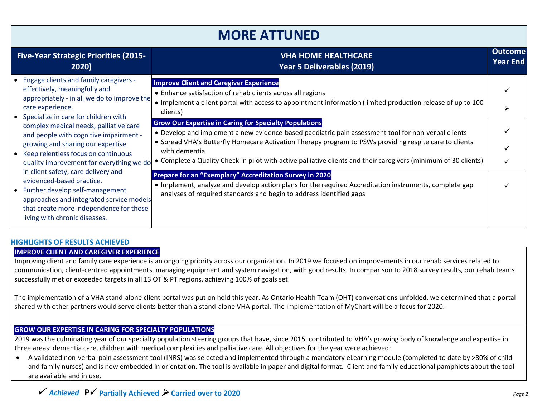### **MORE ATTUNED**

| <b>Five-Year Strategic Priorities (2015-</b><br>2020)                                                                                                                                                                                                                                                                                                                                                                                                                                                                                                                                                                                  | <b>VHA HOME HEALTHCARE</b><br>Year 5 Deliverables (2019)                                                                                                                                                                                                                                                                                                                                                           | <b>Outcome</b><br><b>Year End</b> |
|----------------------------------------------------------------------------------------------------------------------------------------------------------------------------------------------------------------------------------------------------------------------------------------------------------------------------------------------------------------------------------------------------------------------------------------------------------------------------------------------------------------------------------------------------------------------------------------------------------------------------------------|--------------------------------------------------------------------------------------------------------------------------------------------------------------------------------------------------------------------------------------------------------------------------------------------------------------------------------------------------------------------------------------------------------------------|-----------------------------------|
| • Engage clients and family caregivers -<br>effectively, meaningfully and<br>appropriately - in all we do to improve the<br>care experience.<br>• Specialize in care for children with<br>complex medical needs, palliative care<br>and people with cognitive impairment -<br>growing and sharing our expertise.<br>• Keep relentless focus on continuous<br>quality improvement for everything we do<br>in client safety, care delivery and<br>evidenced-based practice.<br>• Further develop self-management<br>approaches and integrated service models<br>that create more independence for those<br>living with chronic diseases. | <b>Improve Client and Caregiver Experience</b><br>• Enhance satisfaction of rehab clients across all regions<br>• Implement a client portal with access to appointment information (limited production release of up to 100<br>clients)                                                                                                                                                                            |                                   |
|                                                                                                                                                                                                                                                                                                                                                                                                                                                                                                                                                                                                                                        | <b>Grow Our Expertise in Caring for Specialty Populations</b><br>• Develop and implement a new evidence-based paediatric pain assessment tool for non-verbal clients<br>• Spread VHA's Butterfly Homecare Activation Therapy program to PSWs providing respite care to clients<br>with dementia<br>• Complete a Quality Check-in pilot with active palliative clients and their caregivers (minimum of 30 clients) |                                   |
|                                                                                                                                                                                                                                                                                                                                                                                                                                                                                                                                                                                                                                        | Prepare for an "Exemplary" Accreditation Survey in 2020<br>• Implement, analyze and develop action plans for the required Accreditation instruments, complete gap<br>analyses of required standards and begin to address identified gaps                                                                                                                                                                           |                                   |

#### **HIGHLIGHTS OF RESULTS ACHIEVED**

#### **IMPROVE CLIENT AND CAREGIVER EXPERIENCE**

Improving client and family care experience is an ongoing priority across our organization. In 2019 we focused on improvements in our rehab services related to communication, client-centred appointments, managing equipment and system navigation, with good results. In comparison to 2018 survey results, our rehab teams successfully met or exceeded targets in all 13 OT & PT regions, achieving 100% of goals set.

The implementation of a VHA stand-alone client portal was put on hold this year. As Ontario Health Team (OHT) conversations unfolded, we determined that a portal shared with other partners would serve clients better than a stand-alone VHA portal. The implementation of MyChart will be a focus for 2020.

#### **GROW OUR EXPERTISE IN CARING FOR SPECIALTY POPULATIONS**

2019 was the culminating year of our specialty population steering groups that have, since 2015, contributed to VHA's growing body of knowledge and expertise in three areas: dementia care, children with medical complexities and palliative care. All objectives for the year were achieved:

• A validated non-verbal pain assessment tool (INRS) was selected and implemented through a mandatory eLearning module (completed to date by >80% of child and family nurses) and is now embedded in orientation. The tool is available in paper and digital format. Client and family educational pamphlets about the tool are available and in use.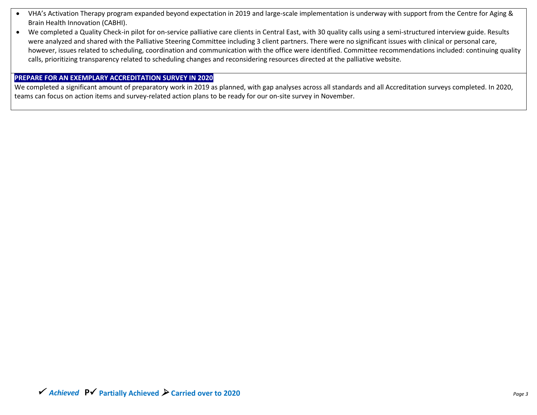- VHA's Activation Therapy program expanded beyond expectation in 2019 and large-scale implementation is underway with support from the Centre for Aging & Brain Health Innovation (CABHI).
- We completed a Quality Check-in pilot for on-service palliative care clients in Central East, with 30 quality calls using a semi-structured interview guide. Results were analyzed and shared with the Palliative Steering Committee including 3 client partners. There were no significant issues with clinical or personal care, however, issues related to scheduling, coordination and communication with the office were identified. Committee recommendations included: continuing quality calls, prioritizing transparency related to scheduling changes and reconsidering resources directed at the palliative website.

#### **PREPARE FOR AN EXEMPLARY ACCREDITATION SURVEY IN 2020**

We completed a significant amount of preparatory work in 2019 as planned, with gap analyses across all standards and all Accreditation surveys completed. In 2020, teams can focus on action items and survey-related action plans to be ready for our on-site survey in November.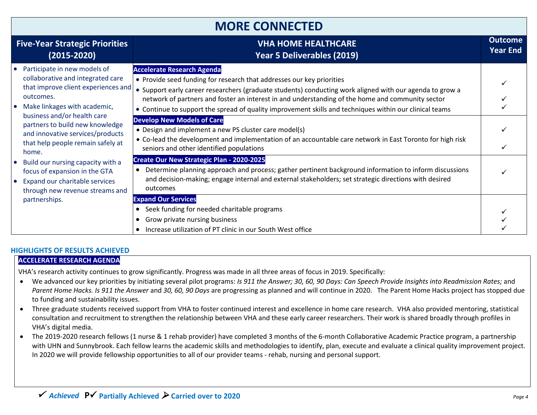| <b>Five-Year Strategic Priorities</b><br>$(2015 - 2020)$                                                                                                                                                                                                        | <b>VHA HOME HEALTHCARE</b><br><b>Year 5 Deliverables (2019)</b>                                                                                                                                                                                                                                                                                                                                                                                                                                                                                                                                                                                  | <b>Outcome</b><br><b>Year End</b> |
|-----------------------------------------------------------------------------------------------------------------------------------------------------------------------------------------------------------------------------------------------------------------|--------------------------------------------------------------------------------------------------------------------------------------------------------------------------------------------------------------------------------------------------------------------------------------------------------------------------------------------------------------------------------------------------------------------------------------------------------------------------------------------------------------------------------------------------------------------------------------------------------------------------------------------------|-----------------------------------|
| • Participate in new models of<br>collaborative and integrated care<br>that improve client experiences and<br>outcomes.<br>• Make linkages with academic,<br>business and/or health care<br>partners to build new knowledge<br>and innovative services/products | <b>Accelerate Research Agenda</b><br>• Provide seed funding for research that addresses our key priorities<br>• Support early career researchers (graduate students) conducting work aligned with our agenda to grow a<br>network of partners and foster an interest in and understanding of the home and community sector<br>• Continue to support the spread of quality improvement skills and techniques within our clinical teams<br><b>Develop New Models of Care</b><br>• Design and implement a new PS cluster care model(s)<br>• Co-lead the development and implementation of an accountable care network in East Toronto for high risk |                                   |
| that help people remain safely at<br>home.                                                                                                                                                                                                                      | seniors and other identified populations<br>Create Our New Strategic Plan - 2020-2025                                                                                                                                                                                                                                                                                                                                                                                                                                                                                                                                                            |                                   |
| • Build our nursing capacity with a<br>focus of expansion in the GTA<br>• Expand our charitable services<br>through new revenue streams and<br>partnerships.                                                                                                    | Determine planning approach and process; gather pertinent background information to inform discussions<br>and decision-making; engage internal and external stakeholders; set strategic directions with desired<br>outcomes                                                                                                                                                                                                                                                                                                                                                                                                                      |                                   |
|                                                                                                                                                                                                                                                                 | <b>Expand Our Services</b><br>Seek funding for needed charitable programs<br>Grow private nursing business<br>Increase utilization of PT clinic in our South West office                                                                                                                                                                                                                                                                                                                                                                                                                                                                         |                                   |

#### **HIGHLIGHTS OF RESULTS ACHIEVED**

#### **ACCELERATE RESEARCH AGENDA**

VHA's research activity continues to grow significantly. Progress was made in all three areas of focus in 2019. Specifically:

- We advanced our key priorities by initiating several pilot programs: *Is 911 the Answer; 30, 60, 90 Days: Can Speech Provide Insights into Readmission Rates;* and *Parent Home Hacks. Is 911 the Answer* and *30, 60, 90 Days* are progressing as planned and will continue in 2020. The Parent Home Hacks project has stopped due to funding and sustainability issues.
- Three graduate students received support from VHA to foster continued interest and excellence in home care research. VHA also provided mentoring, statistical consultation and recruitment to strengthen the relationship between VHA and these early career researchers. Their work is shared broadly through profiles in VHA's digital media.
- The 2019-2020 research fellows (1 nurse & 1 rehab provider) have completed 3 months of the 6-month Collaborative Academic Practice program, a partnership with UHN and Sunnybrook. Each fellow learns the academic skills and methodologies to identify, plan, execute and evaluate a clinical quality improvement project. In 2020 we will provide fellowship opportunities to all of our provider teams - rehab, nursing and personal support.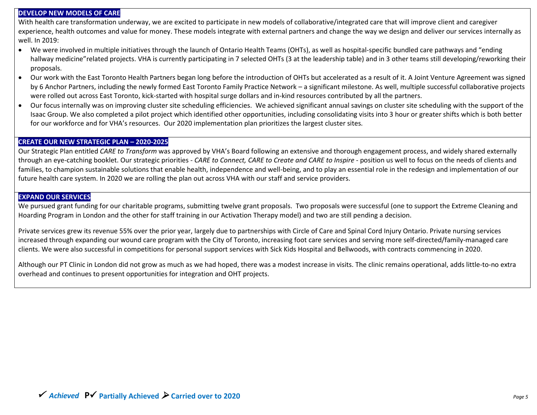#### **DEVELOP NEW MODELS OF CARE**

With health care transformation underway, we are excited to participate in new models of collaborative/integrated care that will improve client and caregiver experience, health outcomes and value for money. These models integrate with external partners and change the way we design and deliver our services internally as well. In 2019:

- We were involved in multiple initiatives through the launch of Ontario Health Teams (OHTs), as well as hospital-specific bundled care pathways and "ending hallway medicine"related projects. VHA is currently participating in 7 selected OHTs (3 at the leadership table) and in 3 other teams still developing/reworking their proposals.
- Our work with the East Toronto Health Partners began long before the introduction of OHTs but accelerated as a result of it. A Joint Venture Agreement was signed by 6 Anchor Partners, including the newly formed East Toronto Family Practice Network – a significant milestone. As well, multiple successful collaborative projects were rolled out across East Toronto, kick-started with hospital surge dollars and in-kind resources contributed by all the partners.
- Our focus internally was on improving cluster site scheduling efficiencies. We achieved significant annual savings on cluster site scheduling with the support of the Isaac Group. We also completed a pilot project which identified other opportunities, including consolidating visits into 3 hour or greater shifts which is both better for our workforce and for VHA's resources. Our 2020 implementation plan prioritizes the largest cluster sites.

#### **CREATE OUR NEW STRATEGIC PLAN – 2020-2025**

Our Strategic Plan entitled *CARE to Transform* was approved by VHA's Board following an extensive and thorough engagement process, and widely shared externally through an eye-catching booklet. Our strategic priorities - *CARE to Connect, CARE to Create and CARE to Inspire* - position us well to focus on the needs of clients and families, to champion sustainable solutions that enable health, independence and well-being, and to play an essential role in the redesign and implementation of our future health care system. In 2020 we are rolling the plan out across VHA with our staff and service providers.

#### **EXPAND OUR SERVICES**

We pursued grant funding for our charitable programs, submitting twelve grant proposals. Two proposals were successful (one to support the Extreme Cleaning and Hoarding Program in London and the other for staff training in our Activation Therapy model) and two are still pending a decision.

Private services grew its revenue 55% over the prior year, largely due to partnerships with Circle of Care and Spinal Cord Injury Ontario. Private nursing services increased through expanding our wound care program with the City of Toronto, increasing foot care services and serving more self-directed/family-managed care clients. We were also successful in competitions for personal support services with Sick Kids Hospital and Bellwoods, with contracts commencing in 2020.

Although our PT Clinic in London did not grow as much as we had hoped, there was a modest increase in visits. The clinic remains operational, adds little-to-no extra overhead and continues to present opportunities for integration and OHT projects.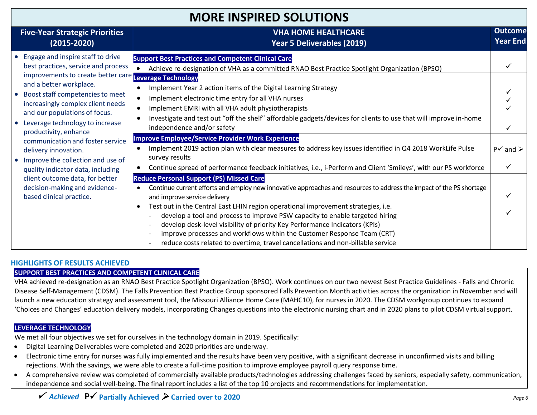### **MORE INSPIRED SOLUTIONS**

| <b>Five-Year Strategic Priorities</b><br>$(2015 - 2020)$                                                                                                                                                                                                                                                                                                                                                                                                                                                                                                                          | <b>VHA HOME HEALTHCARE</b><br>Year 5 Deliverables (2019)                                                                                                                                                                                                                                                                                                                                                                                                                                                                                                                                                                                                                                                                                                                                                                                                                                                                                                                                                                                                                                                                                                                                                                                      | <b>Outcome</b><br><b>Year End</b> |
|-----------------------------------------------------------------------------------------------------------------------------------------------------------------------------------------------------------------------------------------------------------------------------------------------------------------------------------------------------------------------------------------------------------------------------------------------------------------------------------------------------------------------------------------------------------------------------------|-----------------------------------------------------------------------------------------------------------------------------------------------------------------------------------------------------------------------------------------------------------------------------------------------------------------------------------------------------------------------------------------------------------------------------------------------------------------------------------------------------------------------------------------------------------------------------------------------------------------------------------------------------------------------------------------------------------------------------------------------------------------------------------------------------------------------------------------------------------------------------------------------------------------------------------------------------------------------------------------------------------------------------------------------------------------------------------------------------------------------------------------------------------------------------------------------------------------------------------------------|-----------------------------------|
| • Engage and inspire staff to drive<br>best practices, service and process<br>improvements to create better care Leverage Technology<br>and a better workplace.<br>• Boost staff competencies to meet<br>increasingly complex client needs<br>and our populations of focus.<br>• Leverage technology to increase<br>productivity, enhance<br>communication and foster service<br>delivery innovation.<br>• Improve the collection and use of<br>quality indicator data, including<br>client outcome data, for better<br>decision-making and evidence-<br>based clinical practice. | <b>Support Best Practices and Competent Clinical Care</b><br>Achieve re-designation of VHA as a committed RNAO Best Practice Spotlight Organization (BPSO)<br>Implement Year 2 action items of the Digital Learning Strategy<br>Implement electronic time entry for all VHA nurses<br>$\bullet$<br>Implement EMRI with all VHA adult physiotherapists<br>$\bullet$<br>Investigate and test out "off the shelf" affordable gadgets/devices for clients to use that will improve in-home<br>independence and/or safety<br><b>Improve Employee/Service Provider Work Experience</b><br>Implement 2019 action plan with clear measures to address key issues identified in Q4 2018 WorkLife Pulse<br>$\bullet$<br>survey results<br>Continue spread of performance feedback initiatives, i.e., i-Perform and Client 'Smileys', with our PS workforce<br><b>Reduce Personal Support (PS) Missed Care</b><br>Continue current efforts and employ new innovative approaches and resources to address the impact of the PS shortage<br>$\bullet$<br>and improve service delivery<br>Test out in the Central East LHIN region operational improvement strategies, i.e.<br>develop a tool and process to improve PSW capacity to enable targeted hiring | $P\checkmark$ and $\checkmark$    |
|                                                                                                                                                                                                                                                                                                                                                                                                                                                                                                                                                                                   | develop desk-level visibility of priority Key Performance Indicators (KPIs)<br>improve processes and workflows within the Customer Response Team (CRT)<br>reduce costs related to overtime, travel cancellations and non-billable service                                                                                                                                                                                                                                                                                                                                                                                                                                                                                                                                                                                                                                                                                                                                                                                                                                                                                                                                                                                                     |                                   |

#### **HIGHLIGHTS OF RESULTS ACHIEVED**

#### **SUPPORT BEST PRACTICES AND COMPETENT CLINICAL CARE**

VHA achieved re-designation as an RNAO Best Practice Spotlight Organization (BPSO). Work continues on our two newest Best Practice Guidelines - Falls and Chronic Disease Self-Management (CDSM). The Falls Prevention Best Practice Group sponsored Falls Prevention Month activities across the organization in November and will launch a new education strategy and assessment tool, the Missouri Alliance Home Care (MAHC10), for nurses in 2020. The CDSM workgroup continues to expand 'Choices and Changes' education delivery models, incorporating Changes questions into the electronic nursing chart and in 2020 plans to pilot CDSM virtual support.

#### **LEVERAGE TECHNOLOGY**

We met all four objectives we set for ourselves in the technology domain in 2019. Specifically:

- Digital Learning Deliverables were completed and 2020 priorities are underway.
- Electronic time entry for nurses was fully implemented and the results have been very positive, with a significant decrease in unconfirmed visits and billing rejections. With the savings, we were able to create a full-time position to improve employee payroll query response time.
- A comprehensive review was completed of commercially available products/technologies addressing challenges faced by seniors, especially safety, communication, independence and social well-being. The final report includes a list of the top 10 projects and recommendations for implementation.